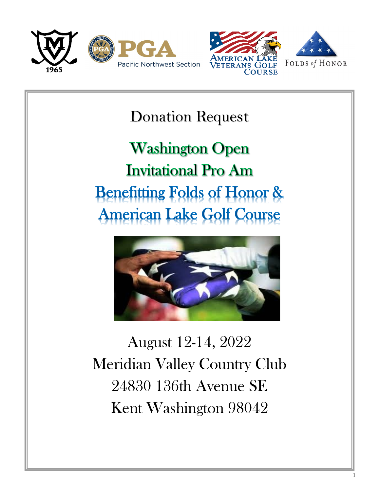



Donation Request

**Washington Open Invitational Pro Am Benefitting Folds of Honor & American Lake Golf Course** 



August 12-14, 2022 Meridian Valley Country Club 24830 136th Avenue SE Kent Washington 98042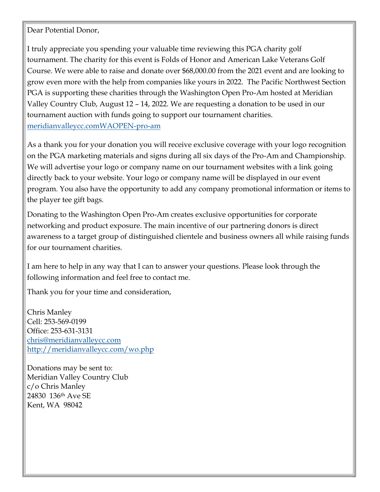Dear Potential Donor,

I truly appreciate you spending your valuable time reviewing this PGA charity golf tournament. The charity for this event is Folds of Honor and American Lake Veterans Golf Course. We were able to raise and donate over \$68,000.00 from the 2021 event and are looking to grow even more with the help from companies like yours in 2022. The Pacific Northwest Section PGA is supporting these charities through the Washington Open Pro-Am hosted at Meridian Valley Country Club, August 12 – 14, 2022. We are requesting a donation to be used in our tournament auction with funds going to support our tournament charities. [meridianvalleycc.comWAOPEN-pro-am](https://meridianvalleycc.com/web/pages/the-pro-am)

As a thank you for your donation you will receive exclusive coverage with your logo recognition on the PGA marketing materials and signs during all six days of the Pro-Am and Championship. We will advertise your logo or company name on our tournament websites with a link going directly back to your website. Your logo or company name will be displayed in our event program. You also have the opportunity to add any company promotional information or items to the player tee gift bags.

Donating to the Washington Open Pro-Am creates exclusive opportunities for corporate networking and product exposure. The main incentive of our partnering donors is direct awareness to a target group of distinguished clientele and business owners all while raising funds for our tournament charities.

2

I am here to help in any way that I can to answer your questions. Please look through the following information and feel free to contact me.

Thank you for your time and consideration,

Chris Manley Cell: 253-569-0199 Office: 253-631-3131 [chris@meridianvalleycc.com](mailto:chris@meridianvalleycc.com)  <http://meridianvalleycc.com/wo.php>

Donations may be sent to: Meridian Valley Country Club c/o Chris Manley 24830 136th Ave SE Kent, WA 98042